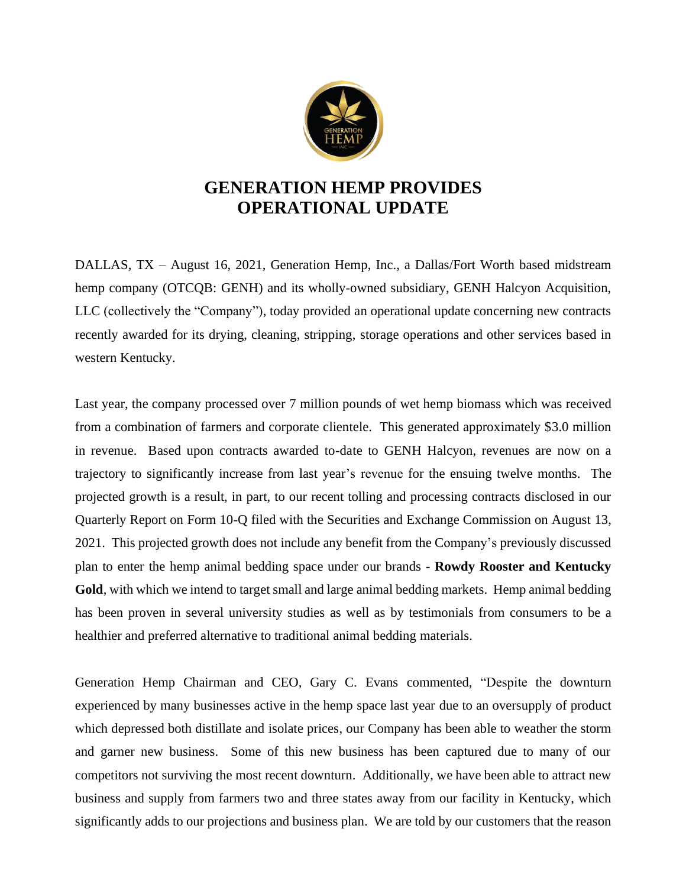

## **GENERATION HEMP PROVIDES OPERATIONAL UPDATE**

DALLAS, TX – August 16, 2021, Generation Hemp, Inc., a Dallas/Fort Worth based midstream hemp company (OTCQB: GENH) and its wholly-owned subsidiary, GENH Halcyon Acquisition, LLC (collectively the "Company"), today provided an operational update concerning new contracts recently awarded for its drying, cleaning, stripping, storage operations and other services based in western Kentucky.

Last year, the company processed over 7 million pounds of wet hemp biomass which was received from a combination of farmers and corporate clientele. This generated approximately \$3.0 million in revenue. Based upon contracts awarded to-date to GENH Halcyon, revenues are now on a trajectory to significantly increase from last year's revenue for the ensuing twelve months. The projected growth is a result, in part, to our recent tolling and processing contracts disclosed in our Quarterly Report on Form 10-Q filed with the Securities and Exchange Commission on August 13, 2021. This projected growth does not include any benefit from the Company's previously discussed plan to enter the hemp animal bedding space under our brands - **Rowdy Rooster and Kentucky Gold**, with which we intend to target small and large animal bedding markets. Hemp animal bedding has been proven in several university studies as well as by testimonials from consumers to be a healthier and preferred alternative to traditional animal bedding materials.

Generation Hemp Chairman and CEO, Gary C. Evans commented, "Despite the downturn experienced by many businesses active in the hemp space last year due to an oversupply of product which depressed both distillate and isolate prices, our Company has been able to weather the storm and garner new business. Some of this new business has been captured due to many of our competitors not surviving the most recent downturn. Additionally, we have been able to attract new business and supply from farmers two and three states away from our facility in Kentucky, which significantly adds to our projections and business plan. We are told by our customers that the reason